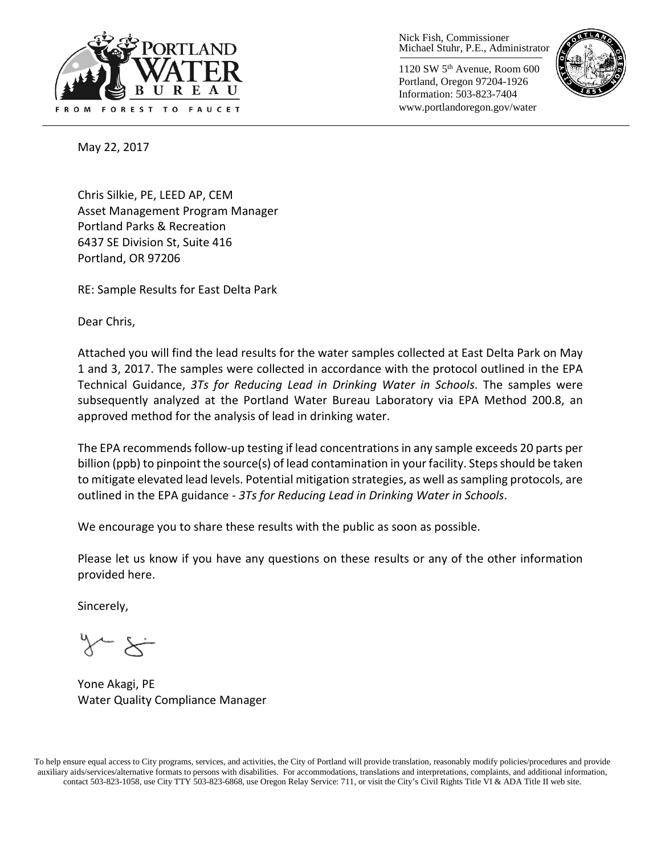

Nick Fish, Commissioner Michael Stuhr, P.E., Administrator

1120 SW 5th Avenue, Room 600 Portland, Oregon 97204-1926 Information: 503-823-7404 www.portlandoregon.gov/water



May 22, 2017

Chris Silkie, PE, LEED AP, CEM Asset Management Program Manager Portland Parks & Recreation 6437 SE Division St, Suite 416 Portland, OR 97206

RE: Sample Results for East Delta Park

Dear Chris,

Attached you will find the lead results for the water samples collected at East Delta Park on May 1 and 3, 2017. The samples were collected in accordance with the protocol outlined in the EPA Technical Guidance, *3Ts for Reducing Lead in Drinking Water in Schools*. The samples were subsequently analyzed at the Portland Water Bureau Laboratory via EPA Method 200.8, an approved method for the analysis of lead in drinking water.

The EPA recommends follow-up testing if lead concentrations in any sample exceeds 20 parts per billion (ppb) to pinpoint the source(s) of lead contamination in your facility. Steps should be taken to mitigate elevated lead levels. Potential mitigation strategies, as well as sampling protocols, are outlined in the EPA guidance - *3Ts for Reducing Lead in Drinking Water in Schools*.

We encourage you to share these results with the public as soon as possible.

Please let us know if you have any questions on these results or any of the other information provided here.

Sincerely,

Yone Akagi, PE Water Quality Compliance Manager

To help ensure equal access to City programs, services, and activities, the City of Portland will provide translation, reasonably modify policies/procedures and provide auxiliary aids/services/alternative formats to persons with disabilities. For accommodations, translations and interpretations, complaints, and additional information, contact 503-823-1058, use City TTY 503-823-6868, use Oregon Relay Service: 711, or visi[t the City's Civil Rights Title VI & ADA Title II web site.](http://www.portlandoregon.gov/oehr/66458)